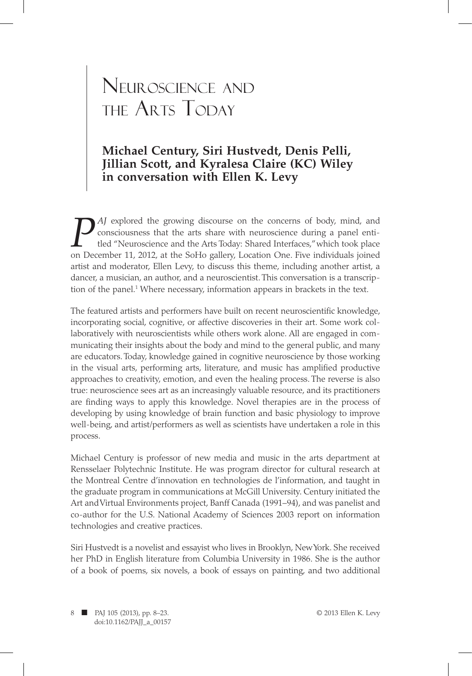# Neuroscience and the Arts Today

# **Michael Century, Siri Hustvedt, Denis Pelli, Jillian Scott, and Kyralesa Claire (KC) Wiley in conversation with Ellen K. Levy**

*P AJ* explored the growing discourse on the concerns of body, mind, and consciousness that the arts share with neuroscience during a panel entitled "Neuroscience and the Arts Today: Shared Interfaces," which took place on December 11, 2012, at the SoHo gallery, Location One. Five individuals joined artist and moderator, Ellen Levy, to discuss this theme, including another artist, a dancer, a musician, an author, and a neuroscientist. This conversation is a transcription of the panel.<sup>1</sup> Where necessary, information appears in brackets in the text.

The featured artists and performers have built on recent neuroscientific knowledge, incorporating social, cognitive, or affective discoveries in their art. Some work collaboratively with neuroscientists while others work alone. All are engaged in communicating their insights about the body and mind to the general public, and many are educators. Today, knowledge gained in cognitive neuroscience by those working in the visual arts, performing arts, literature, and music has amplified productive approaches to creativity, emotion, and even the healing process. The reverse is also true: neuroscience sees art as an increasingly valuable resource, and its practitioners are finding ways to apply this knowledge. Novel therapies are in the process of developing by using knowledge of brain function and basic physiology to improve well-being, and artist/performers as well as scientists have undertaken a role in this process.

Michael Century is professor of new media and music in the arts department at Rensselaer Polytechnic Institute. He was program director for cultural research at the Montreal Centre d'innovation en technologies de l'information, and taught in the graduate program in communications at McGill University. Century initiated the Art and Virtual Environments project, Banff Canada (1991–94), and was panelist and co-author for the U.S. National Academy of Sciences 2003 report on information technologies and creative practices.

Siri Hustvedt is a novelist and essayist who lives in Brooklyn, New York. She received her PhD in English literature from Columbia University in 1986. She is the author of a book of poems, six novels, a book of essays on painting, and two additional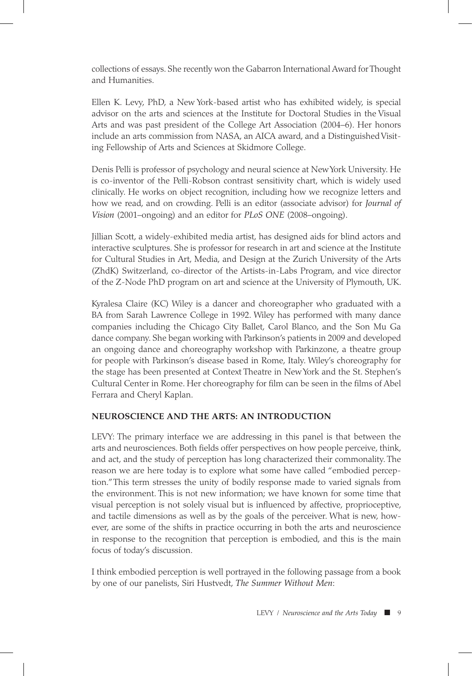collections of essays. She recently won the Gabarron International Award for Thought and Humanities.

Ellen K. Levy, PhD, a New York-based artist who has exhibited widely, is special advisor on the arts and sciences at the Institute for Doctoral Studies in the Visual Arts and was past president of the College Art Association (2004–6). Her honors include an arts commission from NASA, an AICA award, and a Distinguished Visiting Fellowship of Arts and Sciences at Skidmore College.

Denis Pelli is professor of psychology and neural science at New York University. He is co-inventor of the Pelli-Robson contrast sensitivity chart, which is widely used clinically. He works on object recognition, including how we recognize letters and how we read, and on crowding. Pelli is an editor (associate advisor) for *Journal of Vision* (2001–ongoing) and an editor for *PLoS ONE* (2008–ongoing).

Jillian Scott, a widely-exhibited media artist, has designed aids for blind actors and interactive sculptures. She is professor for research in art and science at the Institute for Cultural Studies in Art, Media, and Design at the Zurich University of the Arts (ZhdK) Switzerland, co-director of the Artists-in-Labs Program, and vice director of the Z-Node PhD program on art and science at the University of Plymouth, UK.

Kyralesa Claire (KC) Wiley is a dancer and choreographer who graduated with a BA from Sarah Lawrence College in 1992. Wiley has performed with many dance companies including the Chicago City Ballet, Carol Blanco, and the Son Mu Ga dance company. She began working with Parkinson's patients in 2009 and developed an ongoing dance and choreography workshop with Parkinzone, a theatre group for people with Parkinson's disease based in Rome, Italy. Wiley's choreography for the stage has been presented at Context Theatre in New York and the St. Stephen's Cultural Center in Rome. Her choreography for film can be seen in the films of Abel Ferrara and Cheryl Kaplan.

## **NEUROSCIENCE AND THE ARTS: AN INTRODUCTION**

LEVY: The primary interface we are addressing in this panel is that between the arts and neurosciences. Both fields offer perspectives on how people perceive, think, and act, and the study of perception has long characterized their commonality. The reason we are here today is to explore what some have called "embodied perception." This term stresses the unity of bodily response made to varied signals from the environment. This is not new information; we have known for some time that visual perception is not solely visual but is influenced by affective, proprioceptive, and tactile dimensions as well as by the goals of the perceiver. What is new, however, are some of the shifts in practice occurring in both the arts and neuroscience in response to the recognition that perception is embodied, and this is the main focus of today's discussion.

I think embodied perception is well portrayed in the following passage from a book by one of our panelists, Siri Hustvedt, *The Summer Without Men*: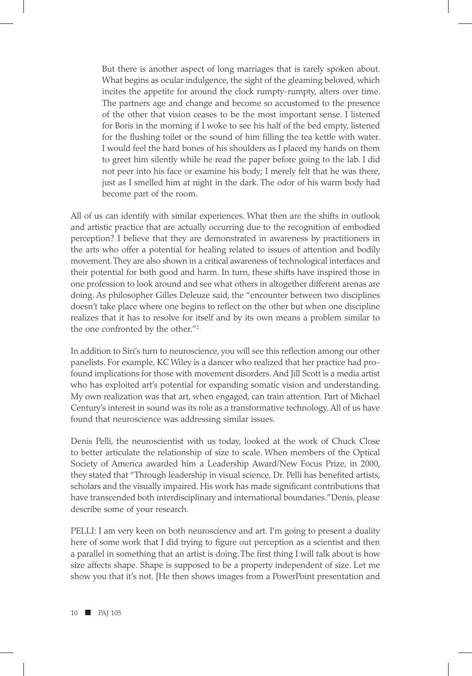But there is another aspect of long marriages that is rarely spoken about. What begins as ocular indulgence, the sight of the gleaming beloved, which incites the appetite for around the clock rumpty-rumpty, alters over time. The partners age and change and become so accustomed to the presence of the other that vision ceases to be the most important sense. I listened for Boris in the morning if I woke to see his half of the bed empty, listened for the flushing toilet or the sound of him filling the tea kettle with water. I would feel the hard bones of his shoulders as I placed my hands on them to greet him silently while he read the paper before going to the lab. I did not peer into his face or examine his body; I merely felt that he was there, just as I smelled him at night in the dark. The odor of his warm body had become part of the room.

All of us can identify with similar experiences. What then are the shifts in outlook and artistic practice that are actually occurring due to the recognition of embodied perception? I believe that they are demonstrated in awareness by practitioners in the arts who offer a potential for healing related to issues of attention and bodily movement. They are also shown in a critical awareness of technological interfaces and their potential for both good and harm. In turn, these shifts have inspired those in one profession to look around and see what others in altogether different arenas are doing. As philosopher Gilles Deleuze said, the "encounter between two disciplines doesn't take place where one begins to reflect on the other but when one discipline realizes that it has to resolve for itself and by its own means a problem similar to the one confronted by the other."2

In addition to Siri's turn to neuroscience, you will see this reflection among our other panelists. For example, KC Wiley is a dancer who realized that her practice had profound implications for those with movement disorders. And Jill Scott is a media artist who has exploited art's potential for expanding somatic vision and understanding. My own realization was that art, when engaged, can train attention. Part of Michael Century's interest in sound was its role as a transformative technology. All of us have found that neuroscience was addressing similar issues.

Denis Pelli, the neuroscientist with us today, looked at the work of Chuck Close to better articulate the relationship of size to scale. When members of the Optical Society of America awarded him a Leadership Award/New Focus Prize, in 2000, they stated that "Through leadership in visual science, Dr. Pelli has benefited artists, scholars and the visually impaired. His work has made significant contributions that have transcended both interdisciplinary and international boundaries." Denis, please describe some of your research.

PELLI: I am very keen on both neuroscience and art. I'm going to present a duality here of some work that I did trying to figure out perception as a scientist and then a parallel in something that an artist is doing. The first thing I will talk about is how size affects shape. Shape is supposed to be a property independent of size. Let me show you that it's not. [He then shows images from a PowerPoint presentation and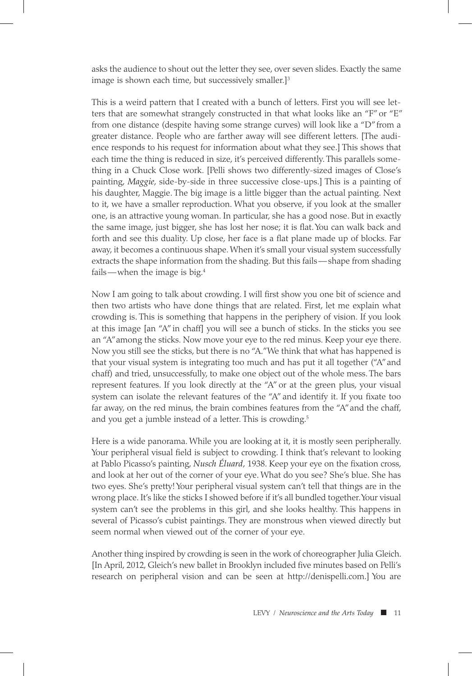asks the audience to shout out the letter they see, over seven slides. Exactly the same image is shown each time, but successively smaller.]<sup>3</sup>

This is a weird pattern that I created with a bunch of letters. First you will see letters that are somewhat strangely constructed in that what looks like an "F" or "E" from one distance (despite having some strange curves) will look like a "D" from a greater distance. People who are farther away will see different letters. [The audience responds to his request for information about what they see.] This shows that each time the thing is reduced in size, it's perceived differently. This parallels something in a Chuck Close work. [Pelli shows two differently-sized images of Close's painting, *Maggie*, side-by-side in three successive close-ups.] This is a painting of his daughter, Maggie. The big image is a little bigger than the actual painting. Next to it, we have a smaller reproduction. What you observe, if you look at the smaller one, is an attractive young woman. In particular, she has a good nose. But in exactly the same image, just bigger, she has lost her nose; it is flat. You can walk back and forth and see this duality. Up close, her face is a flat plane made up of blocks. Far away, it becomes a continuous shape. When it's small your visual system successfully extracts the shape information from the shading. But this fails—shape from shading fails—when the image is big. $4$ 

Now I am going to talk about crowding. I will first show you one bit of science and then two artists who have done things that are related. First, let me explain what crowding is. This is something that happens in the periphery of vision. If you look at this image [an "A" in chaff] you will see a bunch of sticks. In the sticks you see an "A" among the sticks. Now move your eye to the red minus. Keep your eye there. Now you still see the sticks, but there is no "A." We think that what has happened is that your visual system is integrating too much and has put it all together ("A" and chaff) and tried, unsuccessfully, to make one object out of the whole mess. The bars represent features. If you look directly at the "A" or at the green plus, your visual system can isolate the relevant features of the "A" and identify it. If you fixate too far away, on the red minus, the brain combines features from the "A" and the chaff, and you get a jumble instead of a letter. This is crowding.<sup>5</sup>

Here is a wide panorama. While you are looking at it, it is mostly seen peripherally. Your peripheral visual field is subject to crowding. I think that's relevant to looking at Pablo Picasso's painting, *Nusch Éluard,* 1938. Keep your eye on the fixation cross, and look at her out of the corner of your eye. What do you see? She's blue. She has two eyes. She's pretty! Your peripheral visual system can't tell that things are in the wrong place. It's like the sticks I showed before if it's all bundled together. Your visual system can't see the problems in this girl, and she looks healthy. This happens in several of Picasso's cubist paintings. They are monstrous when viewed directly but seem normal when viewed out of the corner of your eye.

Another thing inspired by crowding is seen in the work of choreographer Julia Gleich. [In April, 2012, Gleich's new ballet in Brooklyn included five minutes based on Pelli's research on peripheral vision and can be seen at http://denispelli.com.] You are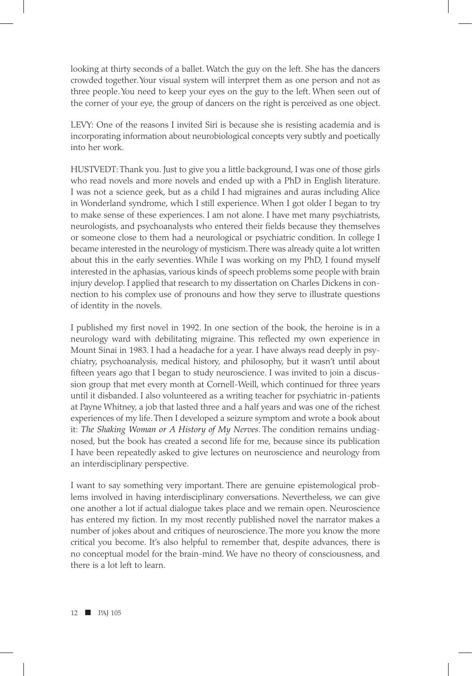looking at thirty seconds of a ballet. Watch the guy on the left. She has the dancers crowded together. Your visual system will interpret them as one person and not as three people. You need to keep your eyes on the guy to the left. When seen out of the corner of your eye, the group of dancers on the right is perceived as one object.

LEVY: One of the reasons I invited Siri is because she is resisting academia and is incorporating information about neurobiological concepts very subtly and poetically into her work.

HUSTVEDT: Thank you. Just to give you a little background, I was one of those girls who read novels and more novels and ended up with a PhD in English literature. I was not a science geek, but as a child I had migraines and auras including Alice in Wonderland syndrome, which I still experience. When I got older I began to try to make sense of these experiences. I am not alone. I have met many psychiatrists, neurologists, and psychoanalysts who entered their fields because they themselves or someone close to them had a neurological or psychiatric condition. In college I became interested in the neurology of mysticism. There was already quite a lot written about this in the early seventies. While I was working on my PhD, I found myself interested in the aphasias, various kinds of speech problems some people with brain injury develop. I applied that research to my dissertation on Charles Dickens in connection to his complex use of pronouns and how they serve to illustrate questions of identity in the novels.

I published my first novel in 1992. In one section of the book, the heroine is in a neurology ward with debilitating migraine. This reflected my own experience in Mount Sinai in 1983. I had a headache for a year. I have always read deeply in psychiatry, psychoanalysis, medical history, and philosophy, but it wasn't until about fifteen years ago that I began to study neuroscience. I was invited to join a discussion group that met every month at Cornell-Weill, which continued for three years until it disbanded. I also volunteered as a writing teacher for psychiatric in-patients at Payne Whitney, a job that lasted three and a half years and was one of the richest experiences of my life. Then I developed a seizure symptom and wrote a book about it: *The Shaking Woman or A History of My Nerves*. The condition remains undiagnosed, but the book has created a second life for me, because since its publication I have been repeatedly asked to give lectures on neuroscience and neurology from an interdisciplinary perspective.

I want to say something very important. There are genuine epistemological problems involved in having interdisciplinary conversations. Nevertheless, we can give one another a lot if actual dialogue takes place and we remain open. Neuroscience has entered my fiction. In my most recently published novel the narrator makes a number of jokes about and critiques of neuroscience. The more you know the more critical you become. It's also helpful to remember that, despite advances, there is no conceptual model for the brain-mind. We have no theory of consciousness, and there is a lot left to learn.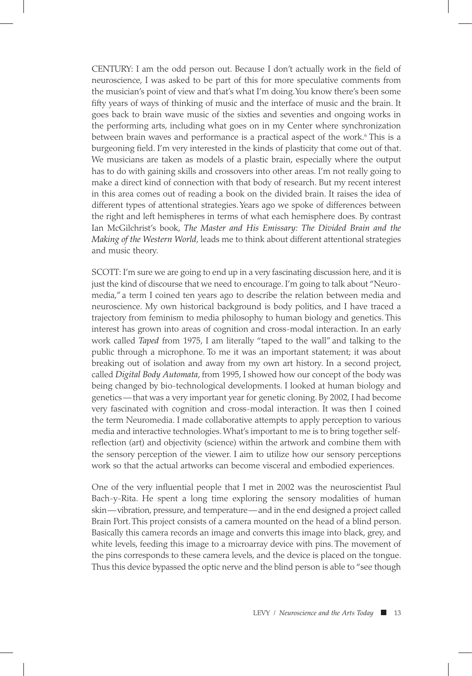CENTURY: I am the odd person out. Because I don't actually work in the field of neuroscience, I was asked to be part of this for more speculative comments from the musician's point of view and that's what I'm doing. You know there's been some fifty years of ways of thinking of music and the interface of music and the brain. It goes back to brain wave music of the sixties and seventies and ongoing works in the performing arts, including what goes on in my Center where synchronization between brain waves and performance is a practical aspect of the work.<sup>6</sup> This is a burgeoning field. I'm very interested in the kinds of plasticity that come out of that. We musicians are taken as models of a plastic brain, especially where the output has to do with gaining skills and crossovers into other areas. I'm not really going to make a direct kind of connection with that body of research. But my recent interest in this area comes out of reading a book on the divided brain. It raises the idea of different types of attentional strategies. Years ago we spoke of differences between the right and left hemispheres in terms of what each hemisphere does. By contrast Ian McGilchrist's book, *The Master and His Emissary: The Divided Brain and the Making of the Western World*, leads me to think about different attentional strategies and music theory.

SCOTT: I'm sure we are going to end up in a very fascinating discussion here, and it is just the kind of discourse that we need to encourage. I'm going to talk about "Neuromedia," a term I coined ten years ago to describe the relation between media and neuroscience. My own historical background is body politics, and I have traced a trajectory from feminism to media philosophy to human biology and genetics. This interest has grown into areas of cognition and cross-modal interaction. In an early work called *Taped* from 1975, I am literally "taped to the wall" and talking to the public through a microphone. To me it was an important statement; it was about breaking out of isolation and away from my own art history. In a second project, called *Digital Body Automata*, from 1995, I showed how our concept of the body was being changed by bio-technological developments. I looked at human biology and genetics—that was a very important year for genetic cloning. By 2002, I had become very fascinated with cognition and cross-modal interaction. It was then I coined the term Neuromedia. I made collaborative attempts to apply perception to various media and interactive technologies. What's important to me is to bring together selfreflection (art) and objectivity (science) within the artwork and combine them with the sensory perception of the viewer. I aim to utilize how our sensory perceptions work so that the actual artworks can become visceral and embodied experiences.

One of the very influential people that I met in 2002 was the neuroscientist Paul Bach-y-Rita. He spent a long time exploring the sensory modalities of human skin—vibration, pressure, and temperature—and in the end designed a project called Brain Port. This project consists of a camera mounted on the head of a blind person. Basically this camera records an image and converts this image into black, grey, and white levels, feeding this image to a microarray device with pins. The movement of the pins corresponds to these camera levels, and the device is placed on the tongue. Thus this device bypassed the optic nerve and the blind person is able to "see though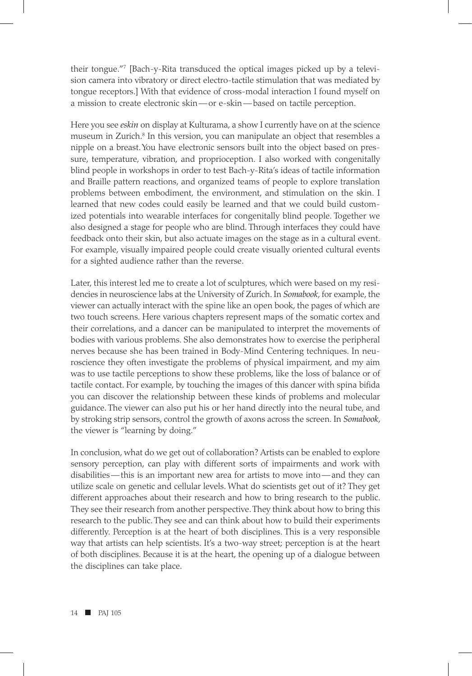their tongue."7 [Bach-y-Rita transduced the optical images picked up by a television camera into vibratory or direct electro-tactile stimulation that was mediated by tongue receptors.] With that evidence of cross-modal interaction I found myself on a mission to create electronic skin—or e-skin—based on tactile perception.

Here you see *eskin* on display at Kulturama, a show I currently have on at the science museum in Zurich.<sup>8</sup> In this version, you can manipulate an object that resembles a nipple on a breast. You have electronic sensors built into the object based on pressure, temperature, vibration, and proprioception. I also worked with congenitally blind people in workshops in order to test Bach-y-Rita's ideas of tactile information and Braille pattern reactions, and organized teams of people to explore translation problems between embodiment, the environment, and stimulation on the skin. I learned that new codes could easily be learned and that we could build customized potentials into wearable interfaces for congenitally blind people. Together we also designed a stage for people who are blind. Through interfaces they could have feedback onto their skin, but also actuate images on the stage as in a cultural event. For example, visually impaired people could create visually oriented cultural events for a sighted audience rather than the reverse.

Later, this interest led me to create a lot of sculptures, which were based on my residencies in neuroscience labs at the University of Zurich. In *Somabook*, for example, the viewer can actually interact with the spine like an open book, the pages of which are two touch screens. Here various chapters represent maps of the somatic cortex and their correlations, and a dancer can be manipulated to interpret the movements of bodies with various problems. She also demonstrates how to exercise the peripheral nerves because she has been trained in Body-Mind Centering techniques. In neuroscience they often investigate the problems of physical impairment, and my aim was to use tactile perceptions to show these problems, like the loss of balance or of tactile contact. For example, by touching the images of this dancer with spina bifida you can discover the relationship between these kinds of problems and molecular guidance. The viewer can also put his or her hand directly into the neural tube, and by stroking strip sensors, control the growth of axons across the screen. In *Somabook*, the viewer is "learning by doing."

In conclusion, what do we get out of collaboration? Artists can be enabled to explore sensory perception, can play with different sorts of impairments and work with disabilities—this is an important new area for artists to move into—and they can utilize scale on genetic and cellular levels. What do scientists get out of it? They get different approaches about their research and how to bring research to the public. They see their research from another perspective. They think about how to bring this research to the public. They see and can think about how to build their experiments differently. Perception is at the heart of both disciplines. This is a very responsible way that artists can help scientists. It's a two-way street; perception is at the heart of both disciplines. Because it is at the heart, the opening up of a dialogue between the disciplines can take place.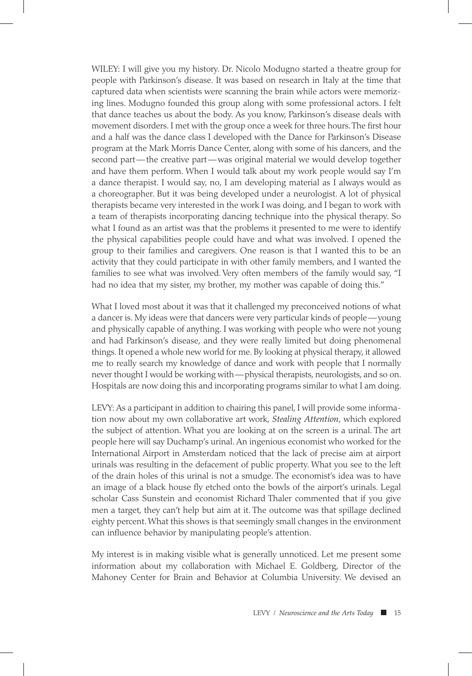WILEY: I will give you my history. Dr. Nicolo Modugno started a theatre group for people with Parkinson's disease. It was based on research in Italy at the time that captured data when scientists were scanning the brain while actors were memorizing lines. Modugno founded this group along with some professional actors. I felt that dance teaches us about the body. As you know, Parkinson's disease deals with movement disorders. I met with the group once a week for three hours. The first hour and a half was the dance class I developed with the Dance for Parkinson's Disease program at the Mark Morris Dance Center, along with some of his dancers, and the second part—the creative part—was original material we would develop together and have them perform. When I would talk about my work people would say I'm a dance therapist. I would say, no, I am developing material as I always would as a choreographer. But it was being developed under a neurologist. A lot of physical therapists became very interested in the work I was doing, and I began to work with a team of therapists incorporating dancing technique into the physical therapy. So what I found as an artist was that the problems it presented to me were to identify the physical capabilities people could have and what was involved. I opened the group to their families and caregivers. One reason is that I wanted this to be an activity that they could participate in with other family members, and I wanted the families to see what was involved. Very often members of the family would say, "I had no idea that my sister, my brother, my mother was capable of doing this."

What I loved most about it was that it challenged my preconceived notions of what a dancer is. My ideas were that dancers were very particular kinds of people—young and physically capable of anything. I was working with people who were not young and had Parkinson's disease, and they were really limited but doing phenomenal things. It opened a whole new world for me. By looking at physical therapy, it allowed me to really search my knowledge of dance and work with people that I normally never thought I would be working with—physical therapists, neurologists, and so on. Hospitals are now doing this and incorporating programs similar to what I am doing.

LEVY: As a participant in addition to chairing this panel, I will provide some information now about my own collaborative art work, *Stealing Attention,* which explored the subject of attention. What you are looking at on the screen is a urinal. The art people here will say Duchamp's urinal. An ingenious economist who worked for the International Airport in Amsterdam noticed that the lack of precise aim at airport urinals was resulting in the defacement of public property. What you see to the left of the drain holes of this urinal is not a smudge. The economist's idea was to have an image of a black house fly etched onto the bowls of the airport's urinals. Legal scholar Cass Sunstein and economist Richard Thaler commented that if you give men a target, they can't help but aim at it. The outcome was that spillage declined eighty percent. What this shows is that seemingly small changes in the environment can influence behavior by manipulating people's attention.

My interest is in making visible what is generally unnoticed. Let me present some information about my collaboration with Michael E. Goldberg, Director of the Mahoney Center for Brain and Behavior at Columbia University. We devised an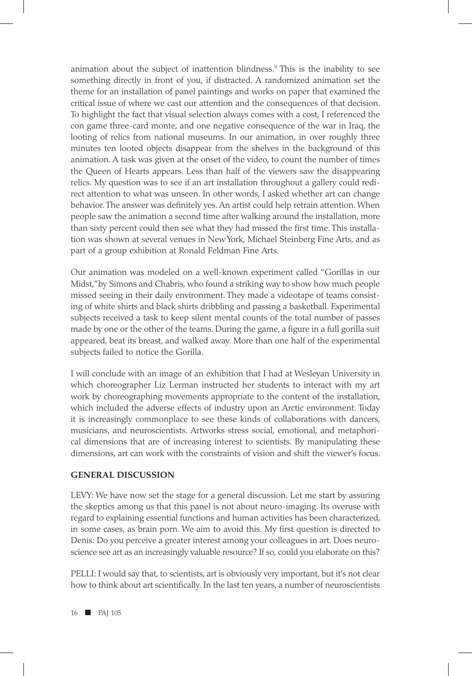animation about the subject of inattention blindness.9 This is the inability to see something directly in front of you, if distracted. A randomized animation set the theme for an installation of panel paintings and works on paper that examined the critical issue of where we cast our attention and the consequences of that decision. To highlight the fact that visual selection always comes with a cost, I referenced the con game three-card monte, and one negative consequence of the war in Iraq, the looting of relics from national museums. In our animation, in over roughly three minutes ten looted objects disappear from the shelves in the background of this animation. A task was given at the onset of the video, to count the number of times the Queen of Hearts appears. Less than half of the viewers saw the disappearing relics. My question was to see if an art installation throughout a gallery could redirect attention to what was unseen. In other words, I asked whether art can change behavior. The answer was definitely yes. An artist could help retrain attention. When people saw the animation a second time after walking around the installation, more than sixty percent could then see what they had missed the first time. This installation was shown at several venues in New York, Michael Steinberg Fine Arts, and as part of a group exhibition at Ronald Feldman Fine Arts.

Our animation was modeled on a well-known experiment called "Gorillas in our Midst," by Simons and Chabris, who found a striking way to show how much people missed seeing in their daily environment. They made a videotape of teams consisting of white shirts and black shirts dribbling and passing a basketball. Experimental subjects received a task to keep silent mental counts of the total number of passes made by one or the other of the teams. During the game, a figure in a full gorilla suit appeared, beat its breast, and walked away. More than one half of the experimental subjects failed to notice the Gorilla.

I will conclude with an image of an exhibition that I had at Wesleyan University in which choreographer Liz Lerman instructed her students to interact with my art work by choreographing movements appropriate to the content of the installation, which included the adverse effects of industry upon an Arctic environment. Today it is increasingly commonplace to see these kinds of collaborations with dancers, musicians, and neuroscientists. Artworks stress social, emotional, and metaphorical dimensions that are of increasing interest to scientists. By manipulating these dimensions, art can work with the constraints of vision and shift the viewer's focus.

### **GENERAL DISCUSSION**

LEVY: We have now set the stage for a general discussion. Let me start by assuring the skeptics among us that this panel is not about neuro-imaging. Its overuse with regard to explaining essential functions and human activities has been characterized, in some cases, as brain porn. We aim to avoid this. My first question is directed to Denis: Do you perceive a greater interest among your colleagues in art. Does neuroscience see art as an increasingly valuable resource? If so, could you elaborate on this?

PELLI: I would say that, to scientists, art is obviously very important, but it's not clear how to think about art scientifically. In the last ten years, a number of neuroscientists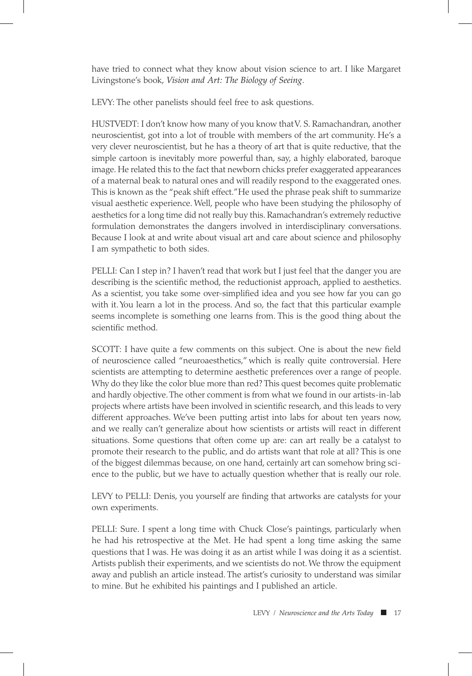have tried to connect what they know about vision science to art. I like Margaret Livingstone's book, *Vision and Art: The Biology of Seeing*.

LEVY: The other panelists should feel free to ask questions.

HUSTVEDT: I don't know how many of you know that V. S. Ramachandran, another neuroscientist, got into a lot of trouble with members of the art community. He's a very clever neuroscientist, but he has a theory of art that is quite reductive, that the simple cartoon is inevitably more powerful than, say, a highly elaborated, baroque image. He related this to the fact that newborn chicks prefer exaggerated appearances of a maternal beak to natural ones and will readily respond to the exaggerated ones. This is known as the "peak shift effect." He used the phrase peak shift to summarize visual aesthetic experience. Well, people who have been studying the philosophy of aesthetics for a long time did not really buy this. Ramachandran's extremely reductive formulation demonstrates the dangers involved in interdisciplinary conversations. Because I look at and write about visual art and care about science and philosophy I am sympathetic to both sides.

PELLI: Can I step in? I haven't read that work but I just feel that the danger you are describing is the scientific method, the reductionist approach, applied to aesthetics. As a scientist, you take some over-simplified idea and you see how far you can go with it. You learn a lot in the process. And so, the fact that this particular example seems incomplete is something one learns from. This is the good thing about the scientific method.

SCOTT: I have quite a few comments on this subject. One is about the new field of neuroscience called "neuroaesthetics," which is really quite controversial. Here scientists are attempting to determine aesthetic preferences over a range of people. Why do they like the color blue more than red? This quest becomes quite problematic and hardly objective. The other comment is from what we found in our artists-in-lab projects where artists have been involved in scientific research, and this leads to very different approaches. We've been putting artist into labs for about ten years now, and we really can't generalize about how scientists or artists will react in different situations. Some questions that often come up are: can art really be a catalyst to promote their research to the public, and do artists want that role at all? This is one of the biggest dilemmas because, on one hand, certainly art can somehow bring science to the public, but we have to actually question whether that is really our role.

LEVY to PELLI: Denis, you yourself are finding that artworks are catalysts for your own experiments.

PELLI: Sure. I spent a long time with Chuck Close's paintings, particularly when he had his retrospective at the Met. He had spent a long time asking the same questions that I was. He was doing it as an artist while I was doing it as a scientist. Artists publish their experiments, and we scientists do not. We throw the equipment away and publish an article instead. The artist's curiosity to understand was similar to mine. But he exhibited his paintings and I published an article.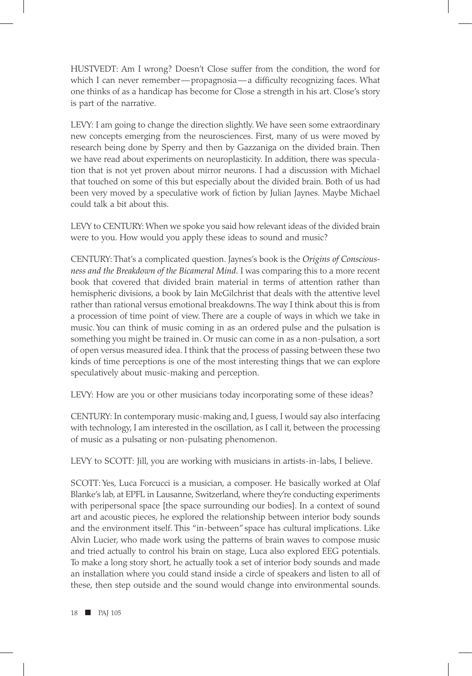HUSTVEDT: Am I wrong? Doesn't Close suffer from the condition, the word for which I can never remember—propagnosia—a difficulty recognizing faces. What one thinks of as a handicap has become for Close a strength in his art. Close's story is part of the narrative.

LEVY: I am going to change the direction slightly. We have seen some extraordinary new concepts emerging from the neurosciences. First, many of us were moved by research being done by Sperry and then by Gazzaniga on the divided brain. Then we have read about experiments on neuroplasticity. In addition, there was speculation that is not yet proven about mirror neurons. I had a discussion with Michael that touched on some of this but especially about the divided brain. Both of us had been very moved by a speculative work of fiction by Julian Jaynes. Maybe Michael could talk a bit about this.

LEVY to CENTURY: When we spoke you said how relevant ideas of the divided brain were to you. How would you apply these ideas to sound and music?

CENTURY: That's a complicated question. Jaynes's book is the *Origins of Consciousness and the Breakdown of the Bicameral Mind.* I was comparing this to a more recent book that covered that divided brain material in terms of attention rather than hemispheric divisions, a book by Iain McGilchrist that deals with the attentive level rather than rational versus emotional breakdowns. The way I think about this is from a procession of time point of view. There are a couple of ways in which we take in music. You can think of music coming in as an ordered pulse and the pulsation is something you might be trained in. Or music can come in as a non-pulsation, a sort of open versus measured idea. I think that the process of passing between these two kinds of time perceptions is one of the most interesting things that we can explore speculatively about music-making and perception.

LEVY: How are you or other musicians today incorporating some of these ideas?

CENTURY: In contemporary music-making and, I guess, I would say also interfacing with technology, I am interested in the oscillation, as I call it, between the processing of music as a pulsating or non-pulsating phenomenon.

LEVY to SCOTT: Jill, you are working with musicians in artists-in-labs, I believe.

SCOTT: Yes, Luca Forcucci is a musician, a composer. He basically worked at Olaf Blanke's lab, at EPFL in Lausanne, Switzerland, where they're conducting experiments with peripersonal space [the space surrounding our bodies]. In a context of sound art and acoustic pieces, he explored the relationship between interior body sounds and the environment itself. This "in-between" space has cultural implications. Like Alvin Lucier, who made work using the patterns of brain waves to compose music and tried actually to control his brain on stage, Luca also explored EEG potentials. To make a long story short, he actually took a set of interior body sounds and made an installation where you could stand inside a circle of speakers and listen to all of these, then step outside and the sound would change into environmental sounds.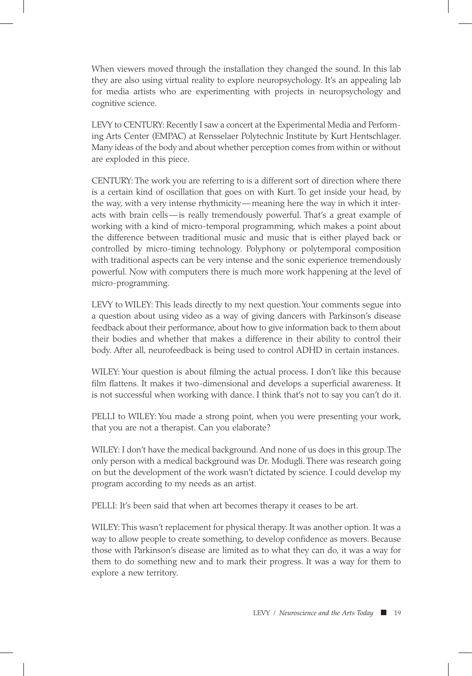When viewers moved through the installation they changed the sound. In this lab they are also using virtual reality to explore neuropsychology. It's an appealing lab for media artists who are experimenting with projects in neuropsychology and cognitive science.

LEVY to CENTURY: Recently I saw a concert at the Experimental Media and Performing Arts Center (EMPAC) at Rensselaer Polytechnic Institute by Kurt Hentschlager. Many ideas of the body and about whether perception comes from within or without are exploded in this piece.

CENTURY: The work you are referring to is a different sort of direction where there is a certain kind of oscillation that goes on with Kurt. To get inside your head, by the way, with a very intense rhythmicity—meaning here the way in which it interacts with brain cells—is really tremendously powerful. That's a great example of working with a kind of micro-temporal programming, which makes a point about the difference between traditional music and music that is either played back or controlled by micro-timing technology. Polyphony or polytemporal composition with traditional aspects can be very intense and the sonic experience tremendously powerful. Now with computers there is much more work happening at the level of micro-programming.

LEVY to WILEY: This leads directly to my next question. Your comments segue into a question about using video as a way of giving dancers with Parkinson's disease feedback about their performance, about how to give information back to them about their bodies and whether that makes a difference in their ability to control their body. After all, neurofeedback is being used to control ADHD in certain instances.

WILEY: Your question is about filming the actual process. I don't like this because film flattens. It makes it two-dimensional and develops a superficial awareness. It is not successful when working with dance. I think that's not to say you can't do it.

PELLI to WILEY: You made a strong point, when you were presenting your work, that you are not a therapist. Can you elaborate?

WILEY: I don't have the medical background. And none of us does in this group. The only person with a medical background was Dr. Modugli. There was research going on but the development of the work wasn't dictated by science. I could develop my program according to my needs as an artist.

PELLI: It's been said that when art becomes therapy it ceases to be art.

WILEY: This wasn't replacement for physical therapy. It was another option. It was a way to allow people to create something, to develop confidence as movers. Because those with Parkinson's disease are limited as to what they can do, it was a way for them to do something new and to mark their progress. It was a way for them to explore a new territory.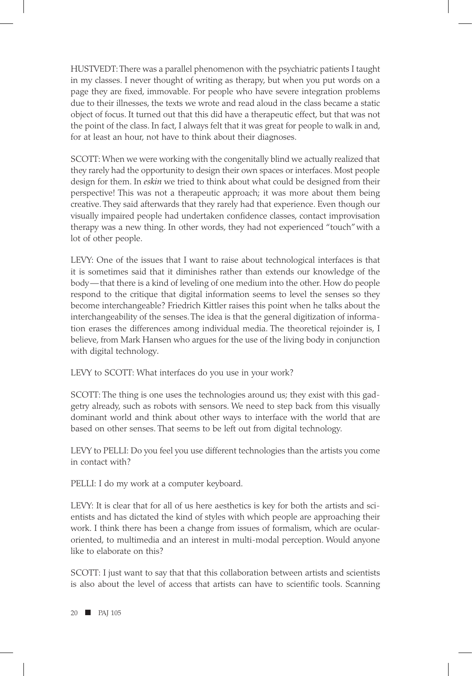HUSTVEDT: There was a parallel phenomenon with the psychiatric patients I taught in my classes. I never thought of writing as therapy, but when you put words on a page they are fixed, immovable. For people who have severe integration problems due to their illnesses, the texts we wrote and read aloud in the class became a static object of focus. It turned out that this did have a therapeutic effect, but that was not the point of the class. In fact, I always felt that it was great for people to walk in and, for at least an hour, not have to think about their diagnoses.

SCOTT: When we were working with the congenitally blind we actually realized that they rarely had the opportunity to design their own spaces or interfaces. Most people design for them. In *eskin* we tried to think about what could be designed from their perspective! This was not a therapeutic approach; it was more about them being creative. They said afterwards that they rarely had that experience. Even though our visually impaired people had undertaken confidence classes, contact improvisation therapy was a new thing. In other words, they had not experienced "touch" with a lot of other people.

LEVY: One of the issues that I want to raise about technological interfaces is that it is sometimes said that it diminishes rather than extends our knowledge of the body—that there is a kind of leveling of one medium into the other. How do people respond to the critique that digital information seems to level the senses so they become interchangeable? Friedrich Kittler raises this point when he talks about the interchangeability of the senses. The idea is that the general digitization of information erases the differences among individual media. The theoretical rejoinder is, I believe, from Mark Hansen who argues for the use of the living body in conjunction with digital technology*.* 

LEVY to SCOTT: What interfaces do you use in your work?

SCOTT: The thing is one uses the technologies around us; they exist with this gadgetry already, such as robots with sensors. We need to step back from this visually dominant world and think about other ways to interface with the world that are based on other senses. That seems to be left out from digital technology.

LEVY to PELLI: Do you feel you use different technologies than the artists you come in contact with?

PELLI: I do my work at a computer keyboard.

LEVY: It is clear that for all of us here aesthetics is key for both the artists and scientists and has dictated the kind of styles with which people are approaching their work. I think there has been a change from issues of formalism, which are ocularoriented, to multimedia and an interest in multi-modal perception. Would anyone like to elaborate on this?

SCOTT: I just want to say that that this collaboration between artists and scientists is also about the level of access that artists can have to scientific tools. Scanning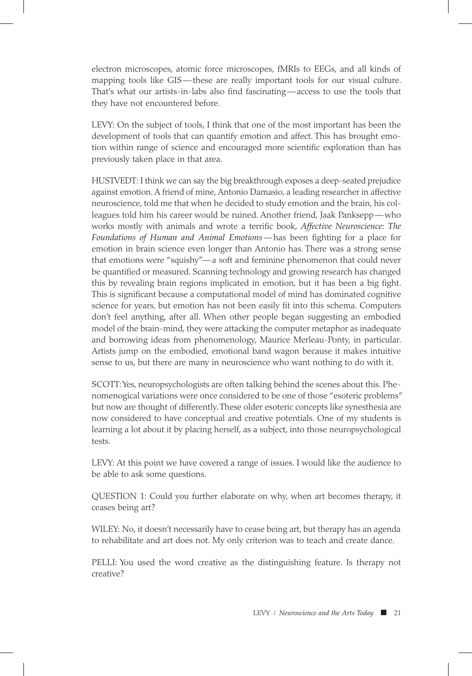electron microscopes, atomic force microscopes, fMRIs to EEGs, and all kinds of mapping tools like GIS—these are really important tools for our visual culture. That's what our artists-in-labs also find fascinating—access to use the tools that they have not encountered before.

LEVY: On the subject of tools, I think that one of the most important has been the development of tools that can quantify emotion and affect. This has brought emotion within range of science and encouraged more scientific exploration than has previously taken place in that area.

HUSTVEDT: I think we can say the big breakthrough exposes a deep-seated prejudice against emotion. A friend of mine, Antonio Damasio, a leading researcher in affective neuroscience, told me that when he decided to study emotion and the brain, his colleagues told him his career would be ruined. Another friend, Jaak Panksepp—who works mostly with animals and wrote a terrific book, *Affective Neuroscience: The Foundations of Human and Animal Emotions*—has been fighting for a place for emotion in brain science even longer than Antonio has. There was a strong sense that emotions were "squishy"—a soft and feminine phenomenon that could never be quantified or measured. Scanning technology and growing research has changed this by revealing brain regions implicated in emotion, but it has been a big fight. This is significant because a computational model of mind has dominated cognitive science for years, but emotion has not been easily fit into this schema. Computers don't feel anything, after all. When other people began suggesting an embodied model of the brain-mind, they were attacking the computer metaphor as inadequate and borrowing ideas from phenomenology, Maurice Merleau-Ponty, in particular. Artists jump on the embodied, emotional band wagon because it makes intuitive sense to us, but there are many in neuroscience who want nothing to do with it.

SCOTT: Yes, neuropsychologists are often talking behind the scenes about this. Phenomenogical variations were once considered to be one of those "esoteric problems" but now are thought of differently. These older esoteric concepts like synesthesia are now considered to have conceptual and creative potentials. One of my students is learning a lot about it by placing herself, as a subject, into those neuropsychological tests.

LEVY: At this point we have covered a range of issues. I would like the audience to be able to ask some questions.

QUESTION 1: Could you further elaborate on why, when art becomes therapy, it ceases being art?

WILEY: No, it doesn't necessarily have to cease being art, but therapy has an agenda to rehabilitate and art does not. My only criterion was to teach and create dance.

PELLI: You used the word creative as the distinguishing feature. Is therapy not creative?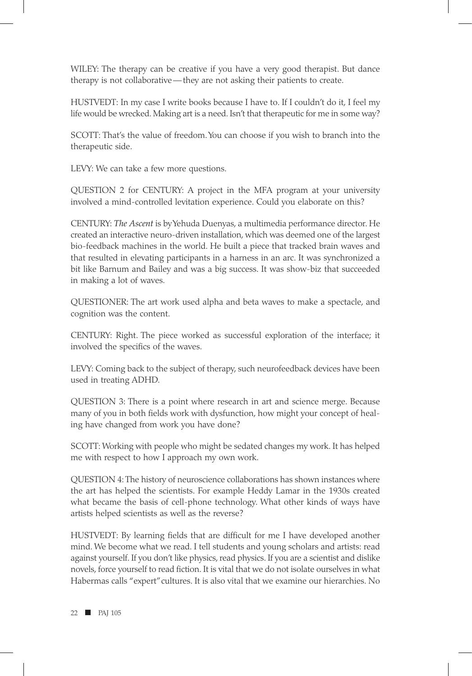WILEY: The therapy can be creative if you have a very good therapist. But dance therapy is not collaborative—they are not asking their patients to create.

HUSTVEDT: In my case I write books because I have to. If I couldn't do it, I feel my life would be wrecked. Making art is a need. Isn't that therapeutic for me in some way?

SCOTT: That's the value of freedom. You can choose if you wish to branch into the therapeutic side.

LEVY: We can take a few more questions.

QUESTION 2 for CENTURY: A project in the MFA program at your university involved a mind-controlled levitation experience. Could you elaborate on this?

CENTURY: *The Ascent* is by Yehuda Duenyas, a multimedia performance director. He created an interactive neuro-driven installation, which was deemed one of the largest bio-feedback machines in the world. He built a piece that tracked brain waves and that resulted in elevating participants in a harness in an arc. It was synchronized a bit like Barnum and Bailey and was a big success. It was show-biz that succeeded in making a lot of waves.

QUESTIONER: The art work used alpha and beta waves to make a spectacle, and cognition was the content.

CENTURY: Right. The piece worked as successful exploration of the interface; it involved the specifics of the waves.

LEVY: Coming back to the subject of therapy, such neurofeedback devices have been used in treating ADHD.

QUESTION 3: There is a point where research in art and science merge. Because many of you in both fields work with dysfunction, how might your concept of healing have changed from work you have done?

SCOTT: Working with people who might be sedated changes my work. It has helped me with respect to how I approach my own work.

QUESTION 4: The history of neuroscience collaborations has shown instances where the art has helped the scientists. For example Heddy Lamar in the 1930s created what became the basis of cell-phone technology. What other kinds of ways have artists helped scientists as well as the reverse?

HUSTVEDT: By learning fields that are difficult for me I have developed another mind. We become what we read. I tell students and young scholars and artists: read against yourself. If you don't like physics, read physics. If you are a scientist and dislike novels, force yourself to read fiction. It is vital that we do not isolate ourselves in what Habermas calls "expert" cultures. It is also vital that we examine our hierarchies. No